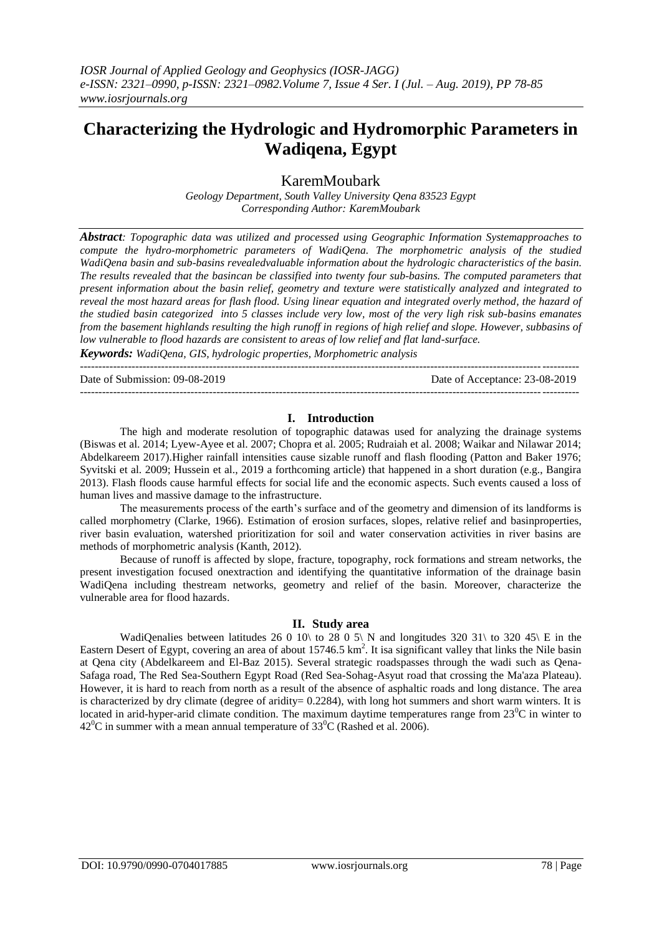# **Characterizing the Hydrologic and Hydromorphic Parameters in Wadiqena, Egypt**

KaremMoubark

*Geology Department, South Valley University Qena 83523 Egypt Corresponding Author: KaremMoubark* 

*Abstract: Topographic data was utilized and processed using Geographic Information Systemapproaches to compute the hydro-morphometric parameters of WadiQena. The morphometric analysis of the studied WadiQena basin and sub-basins revealedvaluable information about the hydrologic characteristics of the basin. The results revealed that the basincan be classified into twenty four sub-basins. The computed parameters that present information about the basin relief, geometry and texture were statistically analyzed and integrated to reveal the most hazard areas for flash flood. Using linear equation and integrated overly method, the hazard of the studied basin categorized into 5 classes include very low, most of the very ligh risk sub-basins emanates from the basement highlands resulting the high runoff in regions of high relief and slope. However, subbasins of low vulnerable to flood hazards are consistent to areas of low relief and flat land-surface.* 

*Keywords: WadiQena, GIS, hydrologic properties, Morphometric analysis*

Date of Submission: 09-08-2019 Date of Acceptance: 23-08-2019

---------------------------------------------------------------------------------------------------------------------------------------

---------------------------------------------------------------------------------------------------------------------------------------

### **I. Introduction**

The high and moderate resolution of topographic datawas used for analyzing the drainage systems (Biswas et al. 2014; Lyew-Ayee et al. 2007; Chopra et al. 2005; Rudraiah et al. 2008; Waikar and Nilawar 2014; Abdelkareem 2017).Higher rainfall intensities cause sizable runoff and flash flooding (Patton and Baker 1976; Syvitski et al. 2009; Hussein et al., 2019 a forthcoming article) that happened in a short duration (e.g., Bangira 2013). Flash floods cause harmful effects for social life and the economic aspects. Such events caused a loss of human lives and massive damage to the infrastructure.

The measurements process of the earth's surface and of the geometry and dimension of its landforms is called morphometry (Clarke, 1966). Estimation of erosion surfaces, slopes, relative relief and basinproperties, river basin evaluation, watershed prioritization for soil and water conservation activities in river basins are methods of morphometric analysis (Kanth, 2012).

Because of runoff is affected by slope, fracture, topography, rock formations and stream networks, the present investigation focused onextraction and identifying the quantitative information of the drainage basin WadiQena including thestream networks, geometry and relief of the basin. Moreover, characterize the vulnerable area for flood hazards.

## **II. Study area**

WadiQenalies between latitudes 26 0 10\ to 28 0 5\ N and longitudes 320 31\ to 320 45\ E in the Eastern Desert of Egypt, covering an area of about  $15746.5 \text{ km}^2$ . It isa significant valley that links the Nile basin at Qena city (Abdelkareem and El-Baz 2015). Several strategic roadspasses through the wadi such as Qena-Safaga road, The Red Sea-Southern Egypt Road (Red Sea-Sohag-Asyut road that crossing the Ma'aza Plateau). However, it is hard to reach from north as a result of the absence of asphaltic roads and long distance. The area is characterized by dry climate (degree of aridity= 0.2284), with long hot summers and short warm winters. It is located in arid-hyper-arid climate condition. The maximum daytime temperatures range from  $23^{\circ}$ C in winter to  $42^{\circ}$ C in summer with a mean annual temperature of 33<sup>o</sup>C (Rashed et al. 2006).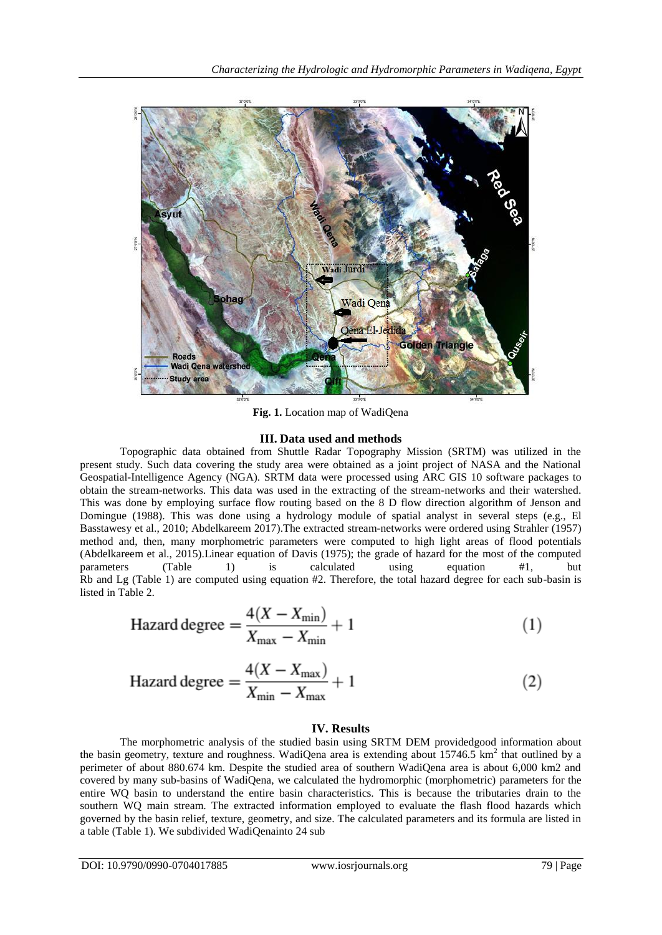

**Fig. 1.** Location map of WadiQena

#### **III. Data used and methods**

Topographic data obtained from Shuttle Radar Topography Mission (SRTM) was utilized in the present study. Such data covering the study area were obtained as a joint project of NASA and the National Geospatial-Intelligence Agency (NGA). SRTM data were processed using ARC GIS 10 software packages to obtain the stream-networks. This data was used in the extracting of the stream-networks and their watershed. This was done by employing surface flow routing based on the 8 D flow direction algorithm of Jenson and Domingue (1988). This was done using a hydrology module of spatial analyst in several steps (e.g., El Basstawesy et al., 2010; Abdelkareem 2017).The extracted stream-networks were ordered using Strahler (1957) method and, then, many morphometric parameters were computed to high light areas of flood potentials (Abdelkareem et al., 2015).Linear equation of Davis (1975); the grade of hazard for the most of the computed parameters (Table 1) is calculated using equation #1, but Rb and Lg (Table 1) are computed using equation #2. Therefore, the total hazard degree for each sub-basin is listed in Table 2.

$$
\text{Hazard degree} = \frac{4(X - X_{\text{min}})}{X_{\text{max}} - X_{\text{min}}} + 1\tag{1}
$$

$$
\text{Hazard degree} = \frac{4(X - X_{\text{max}})}{X_{\text{min}} - X_{\text{max}}} + 1\tag{2}
$$

#### **IV. Results**

The morphometric analysis of the studied basin using SRTM DEM providedgood information about the basin geometry, texture and roughness. WadiQena area is extending about 15746.5 km<sup>2</sup> that outlined by a perimeter of about 880.674 km. Despite the studied area of southern WadiQena area is about 6,000 km2 and covered by many sub-basins of WadiQena, we calculated the hydromorphic (morphometric) parameters for the entire WQ basin to understand the entire basin characteristics. This is because the tributaries drain to the southern WQ main stream. The extracted information employed to evaluate the flash flood hazards which governed by the basin relief, texture, geometry, and size. The calculated parameters and its formula are listed in a table (Table 1). We subdivided WadiQenainto 24 sub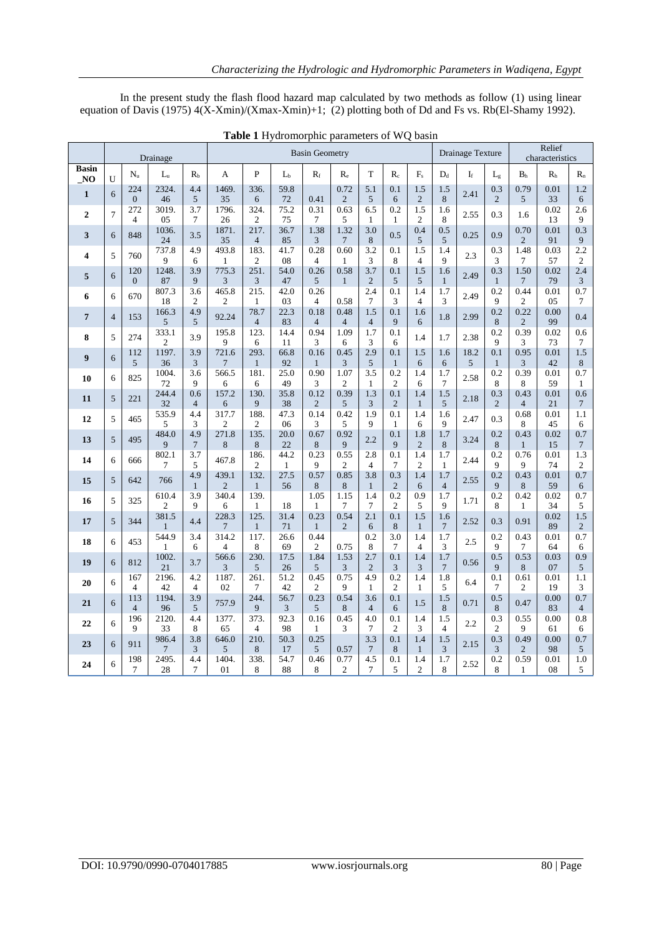In the present study the flash flood hazard map calculated by two methods as follow (1) using linear equation of Davis (1975) 4(X-Xmin)/(Xmax-Xmin)+1; (2) plotting both of Dd and Fs vs. Rb(El-Shamy 1992).

|                                |                |                       | Drainage                |                       | <b>Basin Geometry</b>   |                        |                      |                        |                        |                        |                       |                       | Drainage Texture      |       |                       | Relief<br>characteristics |                |                       |
|--------------------------------|----------------|-----------------------|-------------------------|-----------------------|-------------------------|------------------------|----------------------|------------------------|------------------------|------------------------|-----------------------|-----------------------|-----------------------|-------|-----------------------|---------------------------|----------------|-----------------------|
| <b>Basin</b><br>N <sub>O</sub> | U              | $N_{\rm n}$           | $L_{\rm u}$             | $R_{b}$               | A                       | P                      | $L_b$                | $R_f$                  | $R_{\rm e}$            | T                      | $R_c$                 | $F_{s}$               | $D_d$                 | $I_f$ | $L_{\rm g}$           | B <sub>h</sub>            | R <sub>h</sub> | $R_{n}$               |
| $\mathbf{1}$                   | 6              | 224<br>$\mathbf{0}$   | 2324.<br>46             | 4.4<br>5              | 1469.<br>35             | 336.<br>6              | 59.8<br>72           | 0.41                   | 0.72<br>$\overline{2}$ | 5.1<br>5               | 0.1<br>6              | 1.5<br>2              | 1.5<br>8              | 2.41  | 0.3<br>2              | 0.79<br>5 <sup>5</sup>    | 0.01<br>33     | 1.2<br>6              |
| $\overline{2}$                 | $\overline{7}$ | 272<br>$\overline{4}$ | 3019.<br>05             | 3.7<br>7              | 1796.<br>26             | 324.<br>$\overline{c}$ | 75.2<br>75           | 0.31<br>$\tau$         | 0.63<br>5              | 6.5<br>$\mathbf{1}$    | 0.2<br>1              | 1.5<br>$\overline{2}$ | 1.6<br>8              | 2.55  | 0.3                   | 1.6                       | 0.02<br>13     | 2.6<br>9              |
| 3                              | 6              | 848                   | 1036.                   | 3.5                   | 1871.                   | 217.                   | 36.7                 | 1.38                   | 1.32                   | 3.0                    | 0.5                   | 0.4                   | 0.5                   | 0.25  | 0.9                   | 0.70                      | 0.01           | 0.3                   |
| 4                              | 5              | 760                   | 24<br>737.8             | 4.9                   | 35<br>493.8             | $\overline{4}$<br>183. | 85<br>41.7           | 3<br>0.28              | 7<br>0.60              | 8<br>3.2               | 0.1                   | 5<br>1.5              | 5<br>1.4              | 2.3   | 0.3                   | $\overline{2}$<br>1.48    | 91<br>0.03     | 9<br>2.2              |
|                                |                | 120                   | 9<br>1248.              | 6<br>3.9              | 1<br>775.3              | $\mathfrak{2}$<br>251. | 08<br>54.0           | $\overline{4}$<br>0.26 | 1<br>0.58              | 3<br>3.7               | 8<br>0.1              | $\overline{4}$<br>1.5 | 9<br>1.6              |       | 3<br>0.3              | 7<br>1.50                 | 57<br>0.02     | $\overline{c}$<br>2.4 |
| 5                              | 6              | $\theta$              | 87                      | 9                     | 3                       | 3                      | 47                   | 5                      | $\mathbf{1}$           | 2                      | 5                     | 5                     | $\mathbf{1}$          | 2.49  | $\mathbf{1}$          | 7                         | 79             | $\mathfrak{Z}$        |
| 6                              | 6              | 670                   | 807.3<br>18             | 3.6<br>$\mathfrak{2}$ | 465.8<br>2              | 215.<br>$\mathbf{1}$   | 42.0<br>03           | 0.26<br>4              | 0.58                   | 2.4<br>7               | 0.1<br>3              | 1.4<br>4              | 1.7<br>3              | 2.49  | 0.2<br>9              | 0.44<br>2                 | 0.01<br>05     | 0.7<br>7              |
| 7                              | $\overline{4}$ | 153                   | 166.3<br>5              | 4.9<br>5              | 92.24                   | 78.7<br>$\overline{4}$ | 22.3<br>83           | 0.18<br>$\overline{4}$ | 0.48<br>$\overline{4}$ | 1.5<br>$\overline{4}$  | 0.1<br>9              | 1.6<br>6              | 1.8                   | 2.99  | 0.2<br>8              | 0.22<br>$\overline{2}$    | 0.00<br>99     | 0.4                   |
| 8                              | 5              | 274                   | 333.1<br>$\overline{2}$ | 3.9                   | 195.8<br>9              | 123.<br>6              | 14.4<br>11           | 0.94<br>3              | 1.09<br>6              | 1.7<br>3               | 0.1<br>6              | 1.4                   | 1.7                   | 2.38  | 0.2<br>$\mathbf Q$    | 0.39<br>3                 | 0.02<br>73     | 0.6<br>$\overline{7}$ |
| 9                              | 6              | 112                   | 1197.                   | 3.9                   | 721.6                   | 293.                   | 66.8                 | 0.16                   | 0.45                   | 2.9                    | 0.1                   | 1.5                   | 1.6                   | 18.2  | 0.1                   | 0.95                      | 0.01           | 1.5                   |
|                                |                | 5                     | 36<br>1004.             | 3<br>3.6              | 7<br>566.5              | $\mathbf{1}$<br>181.   | 92<br>25.0           | $\mathbf{1}$<br>0.90   | 3<br>1.07              | 5<br>3.5               | $\mathbf{1}$<br>0.2   | 6<br>1.4              | 6<br>1.7              | 5     | $\mathbf{1}$<br>0.2   | $\overline{3}$<br>0.39    | 42<br>0.01     | 8<br>0.7              |
| 10                             | 6              | 825                   | 72                      | 9                     | 6                       | 6                      | 49                   | 3                      | $\mathfrak{2}$         | $\mathbf{1}$           | $\overline{c}$        | 6                     | $7\phantom{.0}$       | 2.58  | 8                     | 8                         | 59             | 1                     |
| 11                             | 5              | 221                   | 244.4<br>32             | 0.6<br>$\overline{4}$ | 157.2<br>6              | 130.<br>9              | 35.8<br>38           | 0.12<br>$\overline{2}$ | 0.39<br>5              | 1.3<br>3               | 0.1<br>$\overline{2}$ | 1.4<br>$\mathbf{1}$   | 1.5<br>5              | 2.18  | 0.3<br>$\overline{2}$ | 0.43<br>$\overline{4}$    | 0.01<br>21     | 0.6<br>7              |
| 12                             | 5              | 465                   | 535.9<br>5              | 4.4<br>3              | 317.7<br>2              | 188.<br>$\overline{c}$ | 47.3<br>06           | 0.14<br>3              | 0.42<br>5              | 1.9<br>9               | 0.1<br>1              | 1.4<br>6              | 1.6<br>9              | 2.47  | 0.3                   | 0.68<br>8                 | 0.01<br>45     | 1.1<br>6              |
| 13                             | 5              | 495                   | 484.0<br>9              | 4.9<br>$\overline{7}$ | 271.8<br>8              | 135.<br>8              | 20.0<br>22           | 0.67<br>8              | 0.92<br>9              | 2.2                    | 0.1<br>9              | 1.8<br>$\mathbf{2}$   | 1.7<br>8              | 3.24  | 0.2<br>8              | 0.43<br>$\mathbf{1}$      | 0.02<br>15     | 0.7<br>$\overline{7}$ |
| 14                             | 6              | 666                   | 802.1                   | 3.7                   | 467.8                   | 186.                   | 44.2                 | 0.23                   | 0.55                   | 2.8                    | 0.1                   | 1.4                   | 1.7                   | 2.44  | 0.2                   | 0.76                      | 0.01           | 1.3                   |
| 15                             | 5              | 642                   | 7<br>766                | 5<br>4.9              | 439.1                   | 2<br>132.              | $\mathbf{1}$<br>27.5 | 9<br>0.57              | 2<br>0.85              | $\overline{4}$<br>3.8  | 7<br>0.3              | 2<br>1.4              | 1<br>1.7              | 2.55  | 9<br>0.2              | 9<br>0.43                 | 74<br>0.01     | $\mathfrak{2}$<br>0.7 |
|                                |                |                       | 610.4                   | $\mathbf{1}$<br>3.9   | $\overline{2}$<br>340.4 | $\mathbf{1}$<br>139.   | 56                   | 8<br>1.05              | 8<br>1.15              | $\mathbf{1}$<br>1.4    | $\mathbf{2}$<br>0.2   | 6<br>0.9              | $\overline{4}$<br>1.7 |       | 9<br>0.2              | 8<br>0.42                 | 59<br>0.02     | 6<br>0.7              |
| 16                             | 5              | 325                   | $\overline{c}$          | 9                     | 6                       | 1                      | 18                   | 1                      | 7                      | 7                      | $\overline{2}$        | 5                     | 9                     | 1.71  | 8                     | $\mathbf{1}$              | 34             | 5                     |
| 17                             | 5              | 344                   | 381.5<br>$\mathbf{1}$   | 4.4                   | 228.3<br>$\overline{7}$ | 125.<br>$\mathbf{1}$   | 31.4<br>71           | 0.23<br>$\mathbf{1}$   | 0.54<br>2              | 2.1<br>6               | 0.1<br>8              | 1.5<br>$\mathbf{1}$   | 1.6<br>$\overline{7}$ | 2.52  | 0.3                   | 0.91                      | 0.02<br>89     | 1.5<br>$\mathbf{2}$   |
| 18                             | 6              | 453                   | 544.9<br>$\mathbf{1}$   | 3.4<br>6              | 314.2<br>$\overline{4}$ | 117.<br>8              | 26.6<br>69           | 0.44<br>$\overline{2}$ | 0.75                   | 0.2<br>8               | 3.0<br>7              | 1.4<br>$\overline{4}$ | 1.7<br>3              | 2.5   | 0.2<br>9              | 0.43<br>7                 | 0.01<br>64     | 0.7<br>6              |
| 19                             | 6              | 812                   | 1002.<br>21             | 3.7                   | 566.6<br>3              | 230.<br>5              | 17.5<br>26           | 1.84<br>5              | 1.53<br>3              | 2.7<br>2               | 0.1<br>3              | 1.4<br>3              | 1.7<br>7              | 0.56  | 0.5<br>9              | 0.53<br>8                 | 0.03<br>07     | 0.9<br>5              |
| 20                             | 6              | 167                   | 2196.                   | 4.2                   | 1187.                   | 261.                   | 51.2                 | 0.45                   | 0.75<br>9              | 4.9                    | 0.2<br>$\overline{c}$ | 1.4                   | 1.8<br>5              | 6.4   | 0.1                   | 0.61                      | 0.01<br>19     | 1.1                   |
| 21                             | 6              | 4<br>113              | 42<br>1194.             | 4<br>3.9              | 02<br>757.9             | 7<br>244.              | 42<br>56.7           | $\overline{c}$<br>0.23 | 0.54                   | $\mathbf{1}$<br>3.6    | 0.1                   | 1<br>1.5              | 1.5                   | 0.71  | 7<br>0.5              | $\overline{c}$<br>0.47    | 0.00           | 3<br>0.7              |
|                                |                | $\overline{4}$<br>196 | 96<br>2120.             | 5<br>4.4              | 1377.                   | 9<br>373.              | 3<br>92.3            | 5<br>0.16              | 8<br>0.45              | $\overline{4}$<br>4.0  | 6<br>0.1              | 1.4                   | 8<br>1.5              |       | 8<br>0.3              | 0.55                      | 83<br>0.00     | $\overline{4}$<br>0.8 |
| 22                             | 6              | 9                     | 33                      | 8                     | 65                      | $\overline{4}$         | 98                   | $\mathbf{1}$           | 3                      | $\tau$                 | $\overline{2}$        | 3                     | $\overline{4}$        | 2.2   | $\overline{2}$        | 9                         | 61             | 6                     |
| 23                             | 6              | 911                   | 986.4<br>$\tau$         | 3.8<br>3              | 646.0<br>5              | 210.<br>8              | 50.3<br>17           | 0.25<br>5              | 0.57                   | 3.3<br>$7\phantom{.0}$ | 0.1<br>8              | 1.4<br>$\mathbf{1}$   | 1.5<br>3              | 2.15  | 0.3<br>3              | 0.49<br>$\overline{c}$    | 0.00<br>98     | 0.7<br>5              |
| 24                             | 6              | 198<br>7              | 2495.<br>28             | 4.4<br>7              | 1404.<br>01             | 338.<br>8              | 54.7<br>88           | 0.46<br>8              | 0.77<br>$\overline{2}$ | 4.5<br>7               | 0.1<br>5              | 1.4<br>$\overline{c}$ | 1.7<br>8              | 2.52  | 0.2<br>8              | 0.59<br>1                 | 0.01<br>08     | 1.0<br>5              |

**Table 1** Hydromorphic parameters of WQ basin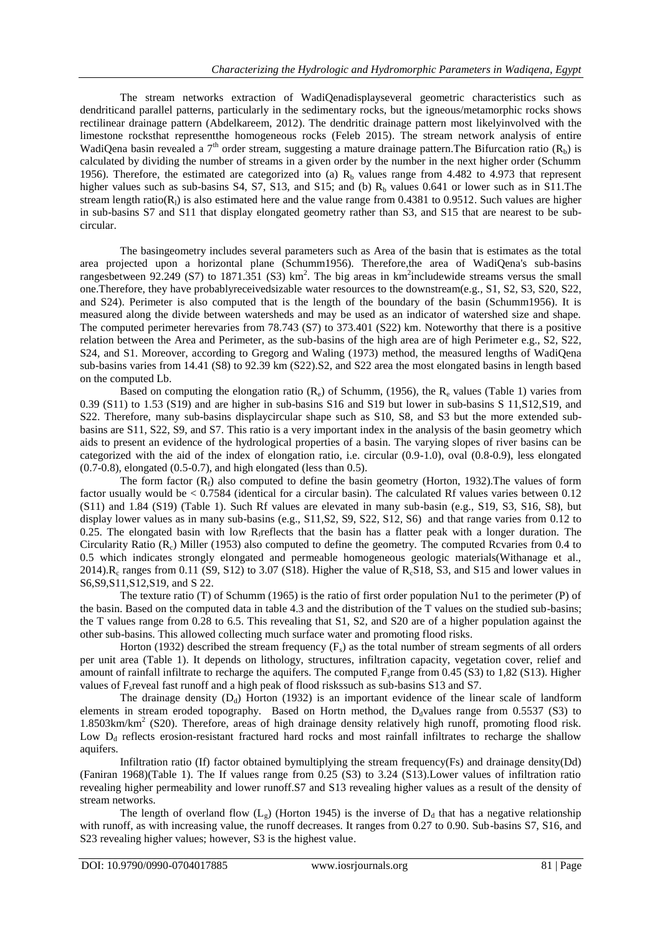The stream networks extraction of WadiQenadisplayseveral geometric characteristics such as dendriticand parallel patterns, particularly in the sedimentary rocks, but the igneous/metamorphic rocks shows rectilinear drainage pattern (Abdelkareem, 2012). The dendritic drainage pattern most likelyinvolved with the limestone rocksthat representthe homogeneous rocks (Feleb 2015). The stream network analysis of entire WadiQena basin revealed a  $7<sup>th</sup>$  order stream, suggesting a mature drainage pattern. The Bifurcation ratio (R<sub>b</sub>) is calculated by dividing the number of streams in a given order by the number in the next higher order (Schumm 1956). Therefore, the estimated are categorized into (a)  $R_b$  values range from 4.482 to 4.973 that represent higher values such as sub-basins S4, S7, S13, and S15; and (b)  $R<sub>b</sub>$  values 0.641 or lower such as in S11.The stream length ratio( $R<sub>l</sub>$ ) is also estimated here and the value range from 0.4381 to 0.9512. Such values are higher in sub-basins S7 and S11 that display elongated geometry rather than S3, and S15 that are nearest to be subcircular.

The basingeometry includes several parameters such as Area of the basin that is estimates as the total area projected upon a horizontal plane (Schumm1956). Therefore,the area of WadiQena's sub-basins rangesbetween 92.249 (S7) to 1871.351 (S3)  $km^2$ . The big areas in  $km^2$  includewide streams versus the small one.Therefore, they have probablyreceivedsizable water resources to the downstream(e.g., S1, S2, S3, S20, S22, and S24). Perimeter is also computed that is the length of the boundary of the basin (Schumm1956). It is measured along the divide between watersheds and may be used as an indicator of watershed size and shape. The computed perimeter herevaries from 78.743 (S7) to 373.401 (S22) km. Noteworthy that there is a positive relation between the Area and Perimeter, as the sub-basins of the high area are of high Perimeter e.g., S2, S22, S24, and S1. Moreover, according to Gregorg and Waling (1973) method, the measured lengths of WadiQena sub-basins varies from 14.41 (S8) to 92.39 km (S22).S2, and S22 area the most elongated basins in length based on the computed Lb.

Based on computing the elongation ratio  $(R_e)$  of Schumm, (1956), the  $R_e$  values (Table 1) varies from 0.39 (S11) to 1.53 (S19) and are higher in sub-basins S16 and S19 but lower in sub-basins S 11,S12,S19, and S22. Therefore, many sub-basins displaycircular shape such as S10, S8, and S3 but the more extended subbasins are S11, S22, S9, and S7. This ratio is a very important index in the analysis of the basin geometry which aids to present an evidence of the hydrological properties of a basin. The varying slopes of river basins can be categorized with the aid of the index of elongation ratio, i.e. circular (0.9-1.0), oval (0.8-0.9), less elongated  $(0.7-0.8)$ , elongated  $(0.5-0.7)$ , and high elongated (less than 0.5).

The form factor  $(R_f)$  also computed to define the basin geometry (Horton, 1932). The values of form factor usually would be < 0.7584 (identical for a circular basin). The calculated Rf values varies between 0.12 (S11) and 1.84 (S19) (Table 1). Such Rf values are elevated in many sub-basin (e.g., S19, S3, S16, S8), but display lower values as in many sub-basins (e.g., S11,S2, S9, S22, S12, S6) and that range varies from 0.12 to 0.25. The elongated basin with low R<sub>f</sub>reflects that the basin has a flatter peak with a longer duration. The Circularity Ratio  $(R<sub>c</sub>)$  Miller (1953) also computed to define the geometry. The computed Rcvaries from 0.4 to 0.5 which indicates strongly elongated and permeable homogeneous geologic materials(Withanage et al., 2014). $R_c$  ranges from 0.11 (S9, S12) to 3.07 (S18). Higher the value of  $R_c$ S18, S3, and S15 and lower values in S6,S9,S11,S12,S19, and S 22.

The texture ratio (T) of Schumm (1965) is the ratio of first order population Nu1 to the perimeter (P) of the basin. Based on the computed data in table 4.3 and the distribution of the T values on the studied sub-basins; the T values range from 0.28 to 6.5. This revealing that S1, S2, and S20 are of a higher population against the other sub-basins. This allowed collecting much surface water and promoting flood risks.

Horton (1932) described the stream frequency  $(F_s)$  as the total number of stream segments of all orders per unit area (Table 1). It depends on lithology, structures, infiltration capacity, vegetation cover, relief and amount of rainfall infiltrate to recharge the aquifers. The computed  $F_s$  range from 0.45 (S3) to 1,82 (S13). Higher values of F<sub>s</sub>reveal fast runoff and a high peak of flood risks sub-basins a sub-basins S13 and S7.

The drainage density  $(D_d)$  Horton (1932) is an important evidence of the linear scale of landform elements in stream eroded topography. Based on Hortn method, the  $D<sub>d</sub>$ values range from 0.5537 (S3) to 1.8503km/km<sup>2</sup> (S20). Therefore, areas of high drainage density relatively high runoff, promoting flood risk. Low  $D_d$  reflects erosion-resistant fractured hard rocks and most rainfall infiltrates to recharge the shallow aquifers.

Infiltration ratio (If) factor obtained bymultiplying the stream frequency(Fs) and drainage density(Dd) (Faniran 1968)(Table 1). The If values range from 0.25 (S3) to 3.24 (S13).Lower values of infiltration ratio revealing higher permeability and lower runoff.S7 and S13 revealing higher values as a result of the density of stream networks.

The length of overland flow  $(L_g)$  (Horton 1945) is the inverse of  $D_d$  that has a negative relationship with runoff, as with increasing value, the runoff decreases. It ranges from 0.27 to 0.90. Sub-basins S7, S16, and S23 revealing higher values; however, S3 is the highest value.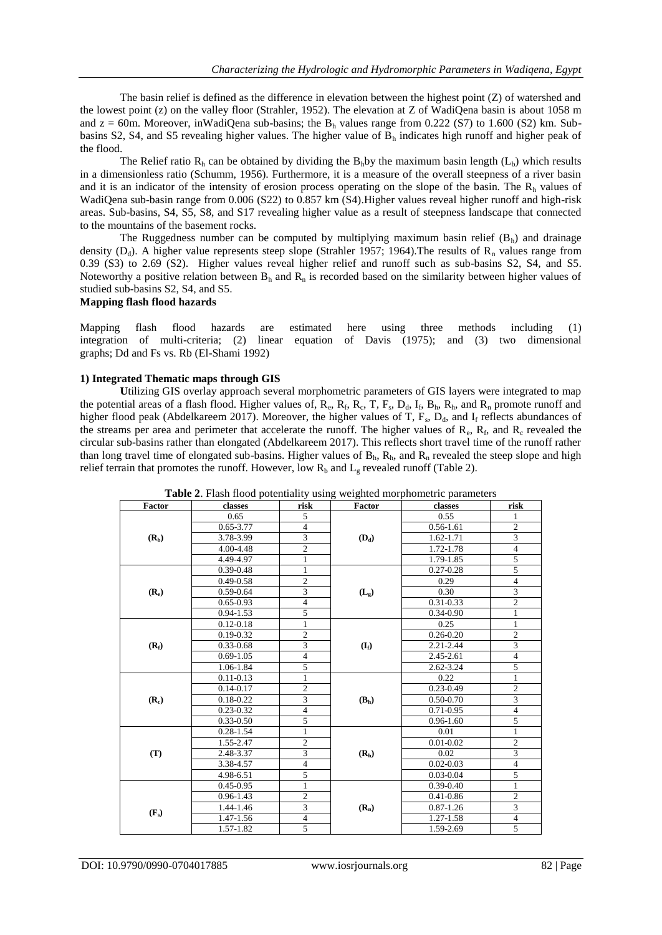The basin relief is defined as the difference in elevation between the highest point (Z) of watershed and the lowest point (z) on the valley floor (Strahler, 1952). The elevation at Z of WadiQena basin is about 1058 m and  $z = 60$ m. Moreover, inWadiQena sub-basins; the B<sub>h</sub> values range from 0.222 (S7) to 1.600 (S2) km. Subbasins S2, S4, and S5 revealing higher values. The higher value of  $B<sub>h</sub>$  indicates high runoff and higher peak of the flood.

The Relief ratio  $R_h$  can be obtained by dividing the  $B_h$ by the maximum basin length ( $L_h$ ) which results in a dimensionless ratio (Schumm, 1956). Furthermore, it is a measure of the overall steepness of a river basin and it is an indicator of the intensity of erosion process operating on the slope of the basin. The  $R_h$  values of WadiQena sub-basin range from 0.006 (S22) to 0.857 km (S4).Higher values reveal higher runoff and high-risk areas. Sub-basins, S4, S5, S8, and S17 revealing higher value as a result of steepness landscape that connected to the mountains of the basement rocks.

The Ruggedness number can be computed by multiplying maximum basin relief  $(B_h)$  and drainage density ( $D_d$ ). A higher value represents steep slope (Strahler 1957; 1964). The results of  $R_n$  values range from 0.39 (S3) to 2.69 (S2). Higher values reveal higher relief and runoff such as sub-basins S2, S4, and S5. Noteworthy a positive relation between  $B_h$  and  $R_n$  is recorded based on the similarity between higher values of studied sub-basins S2, S4, and S5.

#### **Mapping flash flood hazards**

Mapping flash flood hazards are estimated here using three methods including (1) integration of multi-criteria; (2) linear equation of Davis (1975); and (3) two dimensional graphs; Dd and Fs vs. Rb (El-Shami 1992)

### **1) Integrated Thematic maps through GIS**

**U**tilizing GIS overlay approach several morphometric parameters of GIS layers were integrated to map the potential areas of a flash flood. Higher values of,  $R_e$ ,  $R_f$ ,  $R_c$ ,  $T$ ,  $F_s$ ,  $D_d$ ,  $I_f$ ,  $B_h$ ,  $R_h$ , and  $R_n$  promote runoff and higher flood peak (Abdelkareem 2017). Moreover, the higher values of T,  $F_s$ ,  $D_d$ , and  $I_f$  reflects abundances of the streams per area and perimeter that accelerate the runoff. The higher values of  $R_e$ ,  $R_f$ , and  $R_c$  revealed the circular sub-basins rather than elongated (Abdelkareem 2017). This reflects short travel time of the runoff rather than long travel time of elongated sub-basins. Higher values of  $B_h$ ,  $R_h$ , and  $R_n$  revealed the steep slope and high relief terrain that promotes the runoff. However, low  $R_b$  and  $L_g$  revealed runoff (Table 2).

|         | <b>Table 2.</b> Flash Hood potentiality using weighted morphometric parameters |                |                   |                                                                                                                                                                                                                                   |                                                                                                                                                               |
|---------|--------------------------------------------------------------------------------|----------------|-------------------|-----------------------------------------------------------------------------------------------------------------------------------------------------------------------------------------------------------------------------------|---------------------------------------------------------------------------------------------------------------------------------------------------------------|
| Factor  | classes                                                                        | risk           | Factor            | classes                                                                                                                                                                                                                           | risk                                                                                                                                                          |
|         | 0.65                                                                           | 5              |                   | 0.55                                                                                                                                                                                                                              | 1                                                                                                                                                             |
|         | $0.65 - 3.77$                                                                  | $\overline{4}$ |                   | $0.56 - 1.61$                                                                                                                                                                                                                     | $\overline{c}$                                                                                                                                                |
| $(R_b)$ | 3.78-3.99                                                                      | $\overline{3}$ | $(D_d)$           | 1.62-1.71                                                                                                                                                                                                                         | $\overline{3}$                                                                                                                                                |
|         | 4.00-4.48                                                                      | $\overline{2}$ |                   | 1.72-1.78                                                                                                                                                                                                                         | $\overline{4}$                                                                                                                                                |
|         | 4.49-4.97                                                                      | $\mathbf{1}$   |                   | 1.79-1.85                                                                                                                                                                                                                         | 5                                                                                                                                                             |
|         | $0.39 - 0.48$                                                                  | $\mathbf{1}$   |                   | $0.27 - 0.28$                                                                                                                                                                                                                     | 5                                                                                                                                                             |
|         | $0.49 - 0.58$                                                                  | $\overline{c}$ |                   | 0.29                                                                                                                                                                                                                              | $\overline{4}$                                                                                                                                                |
| $(R_e)$ | $0.59 - 0.64$                                                                  | 3              | $(L_g)$           | 0.30                                                                                                                                                                                                                              | $\overline{3}$                                                                                                                                                |
|         | $0.65 - 0.93$                                                                  | $\overline{4}$ |                   | 0.31-0.33                                                                                                                                                                                                                         | $\overline{c}$                                                                                                                                                |
|         | $0.94 - 1.53$                                                                  | 5              |                   | $0.34 - 0.90$                                                                                                                                                                                                                     | $\mathbf{1}$                                                                                                                                                  |
|         | $0.12 - 0.18$                                                                  | $\mathbf{1}$   |                   | 0.25                                                                                                                                                                                                                              | $\mathbf{1}$                                                                                                                                                  |
|         | $0.19 - 0.32$                                                                  | $\overline{2}$ |                   | $0.26 - 0.20$                                                                                                                                                                                                                     | $\overline{c}$                                                                                                                                                |
| $(R_f)$ | $0.33 - 0.68$                                                                  | $\overline{3}$ | $(I_f)$           | 2.21-2.44                                                                                                                                                                                                                         |                                                                                                                                                               |
|         | $0.69 - 1.05$                                                                  | $\overline{4}$ |                   | 2.45-2.61                                                                                                                                                                                                                         |                                                                                                                                                               |
|         | 1.06-1.84                                                                      | 5              |                   | 2.62-3.24<br>0.22<br>$0.23 - 0.49$<br>$0.50 - 0.70$<br>$0.71 - 0.95$<br>$0.96 - 1.60$<br>0.01<br>$0.01 - 0.02$<br>0.02<br>$0.02 - 0.03$<br>$0.03 - 0.04$<br>$0.39 - 0.40$<br>0.41-0.86<br>$0.87 - 1.26$<br>1.27-1.58<br>1.59-2.69 |                                                                                                                                                               |
|         | $0.11 - 0.13$                                                                  | $\mathbf{1}$   |                   |                                                                                                                                                                                                                                   |                                                                                                                                                               |
|         | $0.14 - 0.17$                                                                  | $\overline{2}$ |                   |                                                                                                                                                                                                                                   |                                                                                                                                                               |
| $(R_c)$ | $0.18 - 0.22$                                                                  | $\overline{3}$ | (B <sub>h</sub> ) |                                                                                                                                                                                                                                   |                                                                                                                                                               |
|         | $0.23 - 0.32$                                                                  | $\overline{4}$ |                   |                                                                                                                                                                                                                                   | $\overline{3}$<br>$\overline{4}$<br>5<br>$\mathbf{1}$<br>$\overline{2}$<br>$\overline{\mathbf{3}}$<br>$\overline{4}$<br>5<br>$\overline{1}$<br>$\overline{2}$ |
|         | $0.33 - 0.50$                                                                  | 5              |                   |                                                                                                                                                                                                                                   |                                                                                                                                                               |
|         | $0.28 - 1.54$                                                                  | $\,1$          |                   |                                                                                                                                                                                                                                   |                                                                                                                                                               |
|         | 1.55-2.47                                                                      | $\overline{c}$ |                   |                                                                                                                                                                                                                                   |                                                                                                                                                               |
| (T)     | 2.48-3.37                                                                      | $\overline{3}$ | (R <sub>h</sub> ) |                                                                                                                                                                                                                                   | $\overline{3}$                                                                                                                                                |
|         | 3.38-4.57                                                                      | $\overline{4}$ |                   |                                                                                                                                                                                                                                   | $\overline{4}$                                                                                                                                                |
|         | 4.98-6.51                                                                      | 5              |                   |                                                                                                                                                                                                                                   | 5                                                                                                                                                             |
|         | $0.45 - 0.95$                                                                  | $\mathbf{1}$   |                   |                                                                                                                                                                                                                                   | $\mathbf{1}$                                                                                                                                                  |
|         | $0.96 - 1.43$                                                                  | $\overline{2}$ |                   |                                                                                                                                                                                                                                   | $\overline{2}$                                                                                                                                                |
| $(F_s)$ | 1.44-1.46                                                                      | $\overline{3}$ | $(R_n)$           |                                                                                                                                                                                                                                   | $\overline{3}$                                                                                                                                                |
|         | 1.47-1.56                                                                      | $\overline{4}$ |                   |                                                                                                                                                                                                                                   | $\overline{4}$                                                                                                                                                |
|         | 1.57-1.82                                                                      | 5              |                   |                                                                                                                                                                                                                                   | $\overline{5}$                                                                                                                                                |

**Table 2**. Flash flood potentiality using weighted morphometric parameters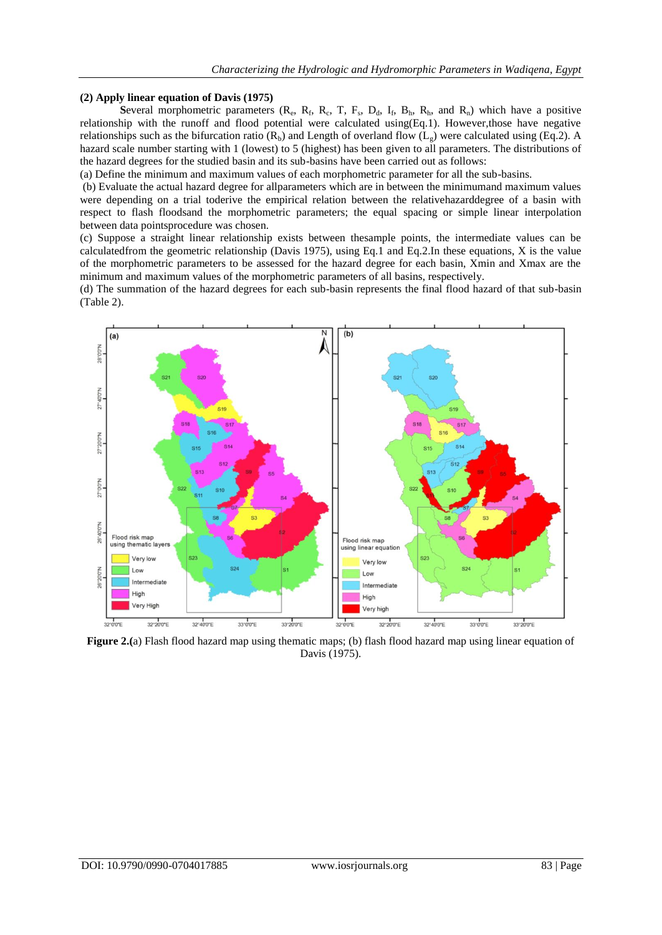## **(2) Apply linear equation of Davis (1975)**

**Several morphometric parameters (** $R_e$ **,**  $R_f$ **,**  $R_c$ **,**  $T$ **,**  $F_s$ **,**  $D_d$ **,**  $I_f$ **,**  $B_h$ **,**  $R_h$ **, and**  $R_n$ **) which have a positive** relationship with the runoff and flood potential were calculated using(Eq.1). However,those have negative relationships such as the bifurcation ratio  $(R_b)$  and Length of overland flow  $(L_g)$  were calculated using (Eq.2). A hazard scale number starting with 1 (lowest) to 5 (highest) has been given to all parameters. The distributions of the hazard degrees for the studied basin and its sub-basins have been carried out as follows:

(a) Define the minimum and maximum values of each morphometric parameter for all the sub-basins.

(b) Evaluate the actual hazard degree for allparameters which are in between the minimumand maximum values were depending on a trial toderive the empirical relation between the relativehazarddegree of a basin with respect to flash floodsand the morphometric parameters; the equal spacing or simple linear interpolation between data pointsprocedure was chosen.

(c) Suppose a straight linear relationship exists between thesample points, the intermediate values can be calculatedfrom the geometric relationship (Davis 1975), using Eq.1 and Eq.2.In these equations, X is the value of the morphometric parameters to be assessed for the hazard degree for each basin, Xmin and Xmax are the minimum and maximum values of the morphometric parameters of all basins, respectively.

(d) The summation of the hazard degrees for each sub-basin represents the final flood hazard of that sub-basin (Table 2).



**Figure 2.(a)** Flash flood hazard map using thematic maps; (b) flash flood hazard map using linear equation of Davis (1975).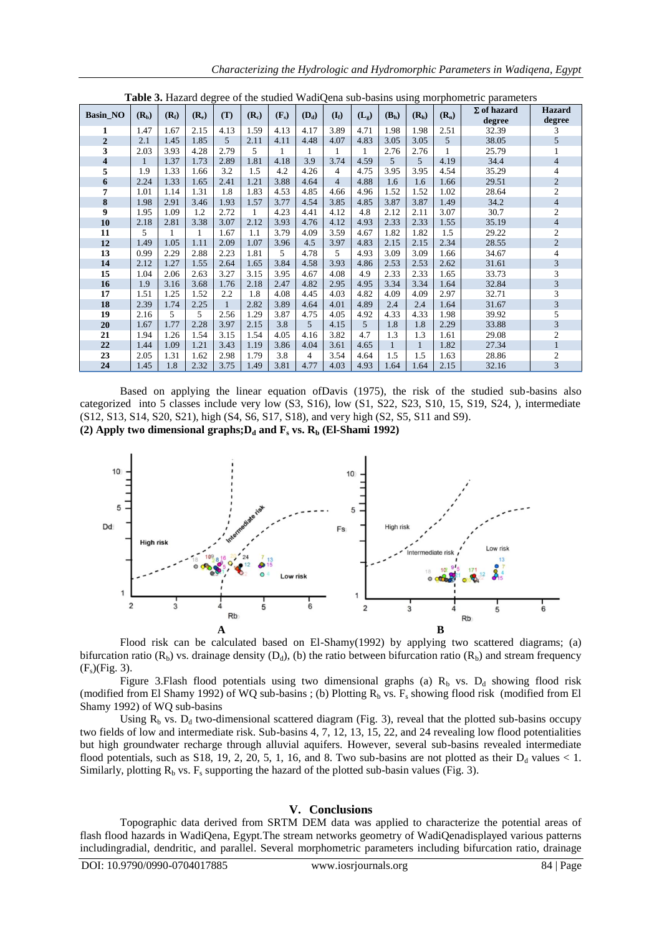|  |  |  | Characterizing the Hydrologic and Hydromorphic Parameters in Wadiqena, Egypt |  |  |
|--|--|--|------------------------------------------------------------------------------|--|--|
|--|--|--|------------------------------------------------------------------------------|--|--|

| Table 3. Hazard degree of the studied WadiQena sub-basins using morphometric parameters |              |         |         |              |              |         |         |                |           |                   |                   |         |                              |                         |
|-----------------------------------------------------------------------------------------|--------------|---------|---------|--------------|--------------|---------|---------|----------------|-----------|-------------------|-------------------|---------|------------------------------|-------------------------|
| <b>Basin_NO</b>                                                                         | $(R_b)$      | $(R_f)$ | $(R_e)$ | (T)          | $(R_c)$      | $(F_s)$ | $(D_d)$ | $(I_f)$        | $(L_{g})$ | (B <sub>h</sub> ) | (R <sub>h</sub> ) | $(R_n)$ | $\Sigma$ of hazard<br>degree | <b>Hazard</b><br>degree |
| 1                                                                                       | 1.47         | 1.67    | 2.15    | 4.13         | 1.59         | 4.13    | 4.17    | 3.89           | 4.71      | 1.98              | 1.98              | 2.51    | 32.39                        | 3                       |
| $\overline{2}$                                                                          | 2.1          | 1.45    | 1.85    | 5            | 2.11         | 4.11    | 4.48    | 4.07           | 4.83      | 3.05              | 3.05              | 5       | 38.05                        | 5                       |
| 3                                                                                       | 2.03         | 3.93    | 4.28    | 2.79         | 5            | 1       | 1       | 1              | 1         | 2.76              | 2.76              |         | 25.79                        |                         |
| $\overline{\mathbf{4}}$                                                                 | $\mathbf{1}$ | 1.37    | 1.73    | 2.89         | 1.81         | 4.18    | 3.9     | 3.74           | 4.59      | $\overline{5}$    | $\overline{5}$    | 4.19    | 34.4                         | $\overline{4}$          |
| 5                                                                                       | 1.9          | 1.33    | 1.66    | 3.2          | 1.5          | 4.2     | 4.26    | $\overline{4}$ | 4.75      | 3.95              | 3.95              | 4.54    | 35.29                        | 4                       |
| 6                                                                                       | 2.24         | 1.33    | 1.65    | 2.41         | 1.21         | 3.88    | 4.64    | $\overline{4}$ | 4.88      | 1.6               | 1.6               | 1.66    | 29.51                        | $\overline{2}$          |
| 7                                                                                       | 1.01         | 1.14    | 1.31    | 1.8          | 1.83         | 4.53    | 4.85    | 4.66           | 4.96      | 1.52              | 1.52              | 1.02    | 28.64                        | $\overline{c}$          |
| $\bf 8$                                                                                 | 1.98         | 2.91    | 3.46    | 1.93         | 1.57         | 3.77    | 4.54    | 3.85           | 4.85      | 3.87              | 3.87              | 1.49    | 34.2                         | 4                       |
| 9                                                                                       | 1.95         | 1.09    | 1.2     | 2.72         | $\mathbf{1}$ | 4.23    | 4.41    | 4.12           | 4.8       | 2.12              | 2.11              | 3.07    | 30.7                         | $\overline{c}$          |
| 10                                                                                      | 2.18         | 2.81    | 3.38    | 3.07         | 2.12         | 3.93    | 4.76    | 4.12           | 4.93      | 2.33              | 2.33              | 1.55    | 35.19                        | $\overline{4}$          |
| 11                                                                                      | 5.           |         | 1       | 1.67         | 1.1          | 3.79    | 4.09    | 3.59           | 4.67      | 1.82              | 1.82              | 1.5     | 29.22                        | $\overline{c}$          |
| 12                                                                                      | 1.49         | 1.05    | 1.11    | 2.09         | 1.07         | 3.96    | 4.5     | 3.97           | 4.83      | 2.15              | 2.15              | 2.34    | 28.55                        | $\overline{2}$          |
| 13                                                                                      | 0.99         | 2.29    | 2.88    | 2.23         | 1.81         | 5       | 4.78    | 5              | 4.93      | 3.09              | 3.09              | 1.66    | 34.67                        | 4                       |
| 14                                                                                      | 2.12         | 1.27    | 1.55    | 2.64         | 1.65         | 3.84    | 4.58    | 3.93           | 4.86      | 2.53              | 2.53              | 2.62    | 31.61                        | 3                       |
| 15                                                                                      | 1.04         | 2.06    | 2.63    | 3.27         | 3.15         | 3.95    | 4.67    | 4.08           | 4.9       | 2.33              | 2.33              | 1.65    | 33.73                        | 3                       |
| 16                                                                                      | 1.9          | 3.16    | 3.68    | 1.76         | 2.18         | 2.47    | 4.82    | 2.95           | 4.95      | 3.34              | 3.34              | 1.64    | 32.84                        | 3                       |
| 17                                                                                      | 1.51         | 1.25    | 1.52    | 2.2          | 1.8          | 4.08    | 4.45    | 4.03           | 4.82      | 4.09              | 4.09              | 2.97    | 32.71                        | 3                       |
| 18                                                                                      | 2.39         | 1.74    | 2.25    | $\mathbf{1}$ | 2.82         | 3.89    | 4.64    | 4.01           | 4.89      | 2.4               | 2.4               | 1.64    | 31.67                        | 3                       |
| 19                                                                                      | 2.16         | 5.      | 5       | 2.56         | 1.29         | 3.87    | 4.75    | 4.05           | 4.92      | 4.33              | 4.33              | 1.98    | 39.92                        | 5                       |
| 20                                                                                      | 1.67         | 1.77    | 2.28    | 3.97         | 2.15         | 3.8     | 5       | 4.15           | 5         | 1.8               | 1.8               | 2.29    | 33.88                        | $\overline{3}$          |
| 21                                                                                      | 1.94         | 1.26    | 1.54    | 3.15         | 1.54         | 4.05    | 4.16    | 3.82           | 4.7       | 1.3               | 1.3               | 1.61    | 29.08                        | $\overline{c}$          |
| 22                                                                                      | 1.44         | 1.09    | 1.21    | 3.43         | 1.19         | 3.86    | 4.04    | 3.61           | 4.65      | $\mathbf{1}$      | $\mathbf{1}$      | 1.82    | 27.34                        |                         |
| 23                                                                                      | 2.05         | 1.31    | 1.62    | 2.98         | 1.79         | 3.8     | 4       | 3.54           | 4.64      | 1.5               | 1.5               | 1.63    | 28.86                        | $\overline{c}$          |
| 24                                                                                      | 1.45         | 1.8     | 2.32    | 3.75         | 1.49         | 3.81    | 4.77    | 4.03           | 4.93      | 1.64              | 1.64              | 2.15    | 32.16                        | $\overline{3}$          |

Based on applying the linear equation ofDavis (1975), the risk of the studied sub-basins also categorized into 5 classes include very low (S3, S16), low (S1, S22, S23, S10, 15, S19, S24, ), intermediate (S12, S13, S14, S20, S21), high (S4, S6, S17, S18), and very high (S2, S5, S11 and S9). **(2) Apply two dimensional graphs;D<sup>d</sup> and F<sup>s</sup> vs. R<sup>b</sup> (El-Shami 1992)**



Flood risk can be calculated based on El-Shamy(1992) by applying two scattered diagrams; (a) bifurcation ratio ( $R_b$ ) vs. drainage density ( $D_d$ ), (b) the ratio between bifurcation ratio ( $R_b$ ) and stream frequency  $(F<sub>s</sub>)(Fig. 3).$ 

Figure 3.Flash flood potentials using two dimensional graphs (a)  $R_b$  vs.  $D_d$  showing flood risk (modified from El Shamy 1992) of WQ sub-basins ; (b) Plotting  $R_b$  vs.  $F_s$  showing flood risk (modified from El Shamy 1992) of WQ sub-basins

Using  $R_b$  vs.  $D_d$  two-dimensional scattered diagram (Fig. 3), reveal that the plotted sub-basins occupy two fields of low and intermediate risk. Sub-basins 4, 7, 12, 13, 15, 22, and 24 revealing low flood potentialities but high groundwater recharge through alluvial aquifers. However, several sub-basins revealed intermediate flood potentials, such as S18, 19, 2, 20, 5, 1, 16, and 8. Two sub-basins are not plotted as their  $D_d$  values < 1. Similarly, plotting  $R_b$  vs.  $F_s$  supporting the hazard of the plotted sub-basin values (Fig. 3).

#### **V. Conclusions**

Topographic data derived from SRTM DEM data was applied to characterize the potential areas of flash flood hazards in WadiQena, Egypt.The stream networks geometry of WadiQenadisplayed various patterns includingradial, dendritic, and parallel. Several morphometric parameters including bifurcation ratio, drainage